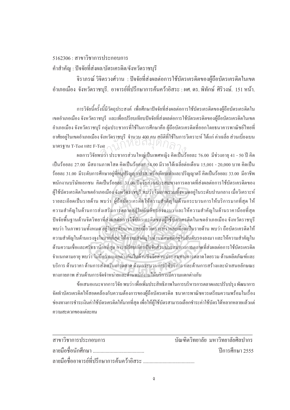## $5162306 \cdot \pi$ าขาวิชาการประกอบการ

## ้ คำสำคัญ : ปัจจัยที่ส่งผล/บัตรเครดิต/จังหวัดราชบุรี

ี จิราภรณ์ วิจิตรวงศ์วาน : ปัจจัยที่ส่งผลต่อการใช้บัตรเครดิตของผู้ถือบัตรเครดิตในเขต ื อำเภอเมือง จังหวัดราชบุรี. อาจารย์ที่ปรึกษาการค้นคว้าอิสระ : ผศ. คร. พิทักษ์ ศิริวงษ์. 151 หน้า.

การวิจัยนี้ครั้งนี้มีวัตถุประสงค์ เพื่อศึกษาปัจจัยที่ส่งผลต่อการใช้บัตรเครดิตของผู้ถือบัตรเครดิตใน 。<br>│ ´Ê เขตอำเภอเมือง จังหวัคราชบุรี และเพื่อเปรียบเทียบปัจจัยที่ส่งผลต่อการใช้บัตรเครดิตของผู้ถือบัตรเครดิตในเขต อำเภอเมือง จังหวัดราชบุรี กลุ่มประชากรที่ใช้ในการศึกษาคือ ผู้ถือบัตรเครดิตที่ออกโดยธนาคารพาณิชย์ไทยที่ อาศัยอยู่ในเขตอำเภอเมือง จังหวัดราชบุรี จำนวน 400 คน สถิติที่ใช้ในการวิเคราะห์ ได้แก่ ค่าเฉลี่ย ส่วนเบี่ยงเบน ¸É มาตรฐาน T-Test และ F-Test ้งงานกรรมนุร จำนวน สมการกรรมการ<br>.est<br>เบว่า ประชากรส่วนใหญ่เป็นเพศหญิง คิดเป็นร้

้ ผลการวิจัยพบว่า ประชากรส่วนใหญ่เป็นเพศหญิง คิดเป็นร้อยละ 76.00 มีช่วงอายุ 41 - 50 ปี คิด เป็นร้อยละ 27.00 มีสถานภาพโสค กิดเป็นร้อยละ 54.00 มีรายได้เฉลี่ยต่อเคือน 15,001 - 20,000 บาท กิดเป็น ู้ ร้อยละ 31.00 มีระดับการศึกษาอย่ที่อนปริณญา/ปวส. หรือเทียบเท่าและปริณญาตรี คิดเป็นร้อยละ 33.00 มีอาชีพ พนักงานบริษัทเอกชน คิดเป็นร้อยละ 31.00 ปัจจัยส่วนประสมทางการตลาดที่ส่งผลต่อการใช้บัตรเครดิตของ ผู้ใช้บัตรเครดิตในเขตอำเภอเมือง จังหวัดราชบุรี พบว่า ในภาพรวมทั้งหมดอยู่ในระดับปานกลาง เมื่อวิเคราะห์ ºÉ  $\,$ รายละเอียดเป็นรายด้าน พบว่า ผู้ถือบัตรเครดิตให้ความสำคัญในด้านกระบวนการให้บริการมากที่สุด ให้ ำความสำคัญในด้านการส่งเสริมการตลาดอยู่ในอันดับรองลงมา และให้ความสำคัญในด้านราคาน้อยที่สุด ปัจจัยพื้นฐานค้านจิตวิทยาที่ส่งผลต่อการใช้บัตรเครดิตของผู้ใช้บัตรเครดิตในเขตอำเภอเมือง จังหวัคราชบุรี ºÊ พบว่า ในภาพรวมทั้งหมด อยู่ในระดับมาก และเมื่อวิเคราะห์รายละเอียดเป็นรายด้าน พบว่า ถือบัตรเครดิตให้ ำความสำคัญในด้านแรงจูงใจมากที่สุด ให้ความสำคัญในด้านทัศนคติอยู่ในอันดับรองลงมา และให้ความสำคัญใน ด้านความเชื่อและศรัทธาน้อยที่สุด การเปรียบเทียบปัจจัยส่วนประสมทางการตลาดที่ส่งผลต่อการใช้บัตรเครดิต ึจำแนกตามอายุ พบว่า ไม่มีความแตกต่างกันในด้านปัจจัยส่วนประสมทางการตลาดโดยรวม ด้านผลิตภัณฑ์และ ู้ บริการ ด้านราคา ด้านการส่งเสริมการตลาด ด้านกระบวนการให้บริการ และด้านการสร้างและนำเสนอลักษณะ ทางกายภาพ ส่วนด้านการจัดจำหน่ายและด้านพนักงานให้บริการมีความแตกต่างกัน

ข้อเสนอแนะจากการวิจัย พบว่า เพื่อเพิ่มประสิทธิภาพในการบริหารการตลาดและปรับปรุง พัฒนาการ ºÉ จัคทำบัตรเครดิตให้สอดคล้องกับความต้องการของผู้ถือบัตรเครดิต ธนาคารพาณิชควรเตรียมความพร้อมในเรื่อง ช่องทางการชำระเงินค่าใช้บัตรเครดิตให้มากที่สุด เพื่อให้ผู้ใช้บัตรสามารถเลือกชำระค่าใช้บัตรได้หลากหลายแล้วแต่ ำความสะดวกของแต่ละคน

| สาขาวิชาการประกอบการ | บัณฑิตวิทยาลัย มหาวิทยาลัยศิลปากร |
|----------------------|-----------------------------------|
|                      | ์ ปีการศึกษา 2555                 |
|                      |                                   |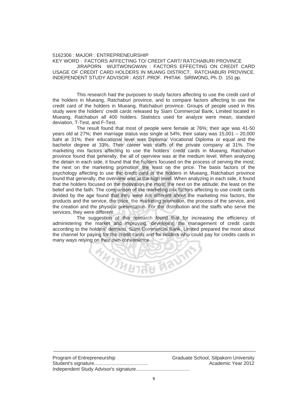## 5162306 : MAJOR : ENTREPRENEURSHIP

KEY WORD : FACTORS AFFECTING TO/ CREDIT CART/ RATCHABURI PROVINCE JIRAPORN WIJITWONGWAN : FACTORS EFFECTING ON CREDIT CARD USAGE OF CREDIT CARD HOLDERS IN MUANG DISTRICT, RATCHABURI PROVINCE. INDEPENDENT STUDY ADVISOR : ASST. PROF. PHITAK SIRIWONG, Ph. D. 151 pp.

 This research had the purposes to study factors affecting to use the credit card of the holders in Mueang, Ratchaburi province, and to compare factors affecting to use the credit card of the holders in Mueang, Ratchaburi province. Groups of people used in this study were the holders' credit cards released by Siam Commercial Bank, Limited located in Mueang, Ratchaburi all 400 holders. Statistics used for analyze were mean, standard deviation, T-Test, and F-Test.

 The result found that most of people were female at 76%; their age was 41-50 years old at 27%; their marriage status was single at 54%; their salary was 15,001 – 20,000 baht at 31%; their educational level was Diploma/ Vocational Diploma or equal and the bachelor degree at 33%. Their career was staffs of the private company at 31%. The marketing mix factors affecting to use the holders' credit cards in Mueang, Ratchaburi province found that generally, the all of overview was at the medium level. When analyzing the detain in each side, it found that the holders focused on the process of serving the most; the next on the marketing promotion; the least on the price. The basis factors of the psychology affecting to use the credit card of the holders in Mueang, Ratchaburi province found that generally, the overview was at the high level. When analyzing in each side, it found that the holders focused on the motivation the most; the next on the attitude; the least on the belief and the faith. The comparison of the marketing mix factors affecting to use credit cards divided by the age found that they were not different about the marketing mix factors, the products and the service, the price, the marketing promotion, the process of the service, and the creation and the physical presentation. For the distribution and the staffs who serve the services, they were different. ducational level was Diploma/ Vocatio<br>33%. Their career was staffs of the<br>s affecting to use the holders' credit<br>enerally the all of overview was at the

 The suggestion of this research found that for increasing the efficiency of administering the market and improving, developing the management of credit cards according to the holders' demand. Siam Commercial Bank, Limited prepared the most about the channel for paying for the credit cards and for holders who could pay for credits cards in many ways relying on their own convenience. RASCIERS NA

Program of Entrepreneurship Graduate School, Silpakorn University Student's signature........................................ Academic Year 2012 Independent Study Advisor's signature........................................